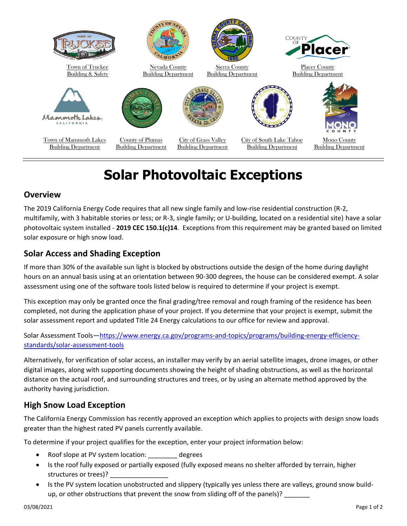

# **Solar Photovoltaic Exceptions**

### **Overview**

The 2019 California Energy Code requires that all new single family and low-rise residential construction (R-2, multifamily, with 3 habitable stories or less; or R-3, single family; or U-building, located on a residential site) have a solar photovoltaic system installed - **2019 CEC 150.1(c)14**. Exceptions from this requirement may be granted based on limited solar exposure or high snow load.

## **Solar Access and Shading Exception**

If more than 30% of the available sun light is blocked by obstructions outside the design of the home during daylight hours on an annual basis using at an orientation between 90-300 degrees, the house can be considered exempt. A solar assessment using one of the software tools listed below is required to determine if your project is exempt.

This exception may only be granted once the final grading/tree removal and rough framing of the residence has been completed, not during the application phase of your project. If you determine that your project is exempt, submit the solar assessment report and updated Title 24 Energy calculations to our office for review and approval.

#### Solar Assessment Tools—[https://www.energy.ca.gov/programs-and-topics/programs/building-energy-efficiency](https://www.energy.ca.gov/programs-and-topics/programs/building-energy-efficiency-standards/solar-assessment-tools)[standards/solar-assessment-tools](https://www.energy.ca.gov/programs-and-topics/programs/building-energy-efficiency-standards/solar-assessment-tools)

Alternatively, for verification of solar access, an installer may verify by an aerial satellite images, drone images, or other digital images, along with supporting documents showing the height of shading obstructions, as well as the horizontal distance on the actual roof, and surrounding structures and trees, or by using an alternate method approved by the authority having jurisdiction.

## **High Snow Load Exception**

The California Energy Commission has recently approved an exception which applies to projects with design snow loads greater than the highest rated PV panels currently available.

To determine if your project qualifies for the exception, enter your project information below:

- Roof slope at PV system location: \_\_\_\_\_\_\_\_ degrees
- Is the roof fully exposed or partially exposed (fully exposed means no shelter afforded by terrain, higher structures or trees)?
- Is the PV system location unobstructed and slippery (typically yes unless there are valleys, ground snow buildup, or other obstructions that prevent the snow from sliding off of the panels)?